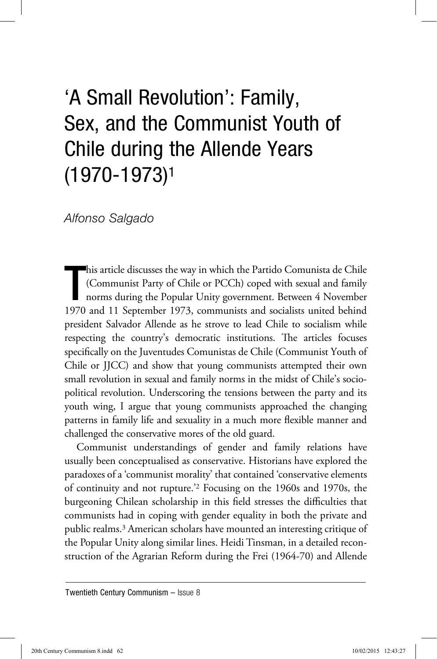# 'A Small Revolution': Family, Sex, and the Communist Youth of Chile during the Allende Years (1970-1973)1

*Alfonso Salgado*

 $\frac{1}{1070}$ his article discusses the way in which the Partido Comunista de Chile (Communist Party of Chile or PCCh) coped with sexual and family norms during the Popular Unity government. Between 4 November 1970 and 11 September 1973, communists and socialists united behind president Salvador Allende as he strove to lead Chile to socialism while respecting the country's democratic institutions. The articles focuses specifically on the Juventudes Comunistas de Chile (Communist Youth of Chile or JJCC) and show that young communists attempted their own small revolution in sexual and family norms in the midst of Chile's sociopolitical revolution. Underscoring the tensions between the party and its youth wing, I argue that young communists approached the changing patterns in family life and sexuality in a much more flexible manner and challenged the conservative mores of the old guard.

Communist understandings of gender and family relations have usually been conceptualised as conservative. Historians have explored the paradoxes of a 'communist morality' that contained 'conservative elements of continuity and not rupture.'2 Focusing on the 1960s and 1970s, the burgeoning Chilean scholarship in this field stresses the difficulties that communists had in coping with gender equality in both the private and public realms.3 American scholars have mounted an interesting critique of the Popular Unity along similar lines. Heidi Tinsman, in a detailed reconstruction of the Agrarian Reform during the Frei (1964-70) and Allende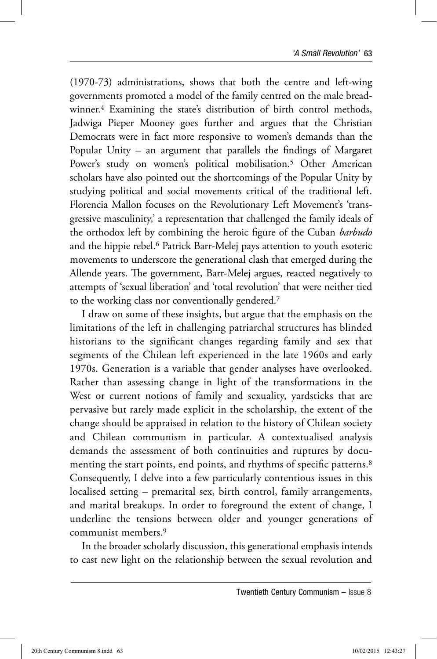(1970-73) administrations, shows that both the centre and left-wing governments promoted a model of the family centred on the male breadwinner.4 Examining the state's distribution of birth control methods, Jadwiga Pieper Mooney goes further and argues that the Christian Democrats were in fact more responsive to women's demands than the Popular Unity – an argument that parallels the findings of Margaret Power's study on women's political mobilisation.<sup>5</sup> Other American scholars have also pointed out the shortcomings of the Popular Unity by studying political and social movements critical of the traditional left. Florencia Mallon focuses on the Revolutionary Left Movement's 'transgressive masculinity,' a representation that challenged the family ideals of the orthodox left by combining the heroic figure of the Cuban *barbudo* and the hippie rebel.6 Patrick Barr-Melej pays attention to youth esoteric movements to underscore the generational clash that emerged during the Allende years. The government, Barr-Melej argues, reacted negatively to attempts of 'sexual liberation' and 'total revolution' that were neither tied to the working class nor conventionally gendered.7

I draw on some of these insights, but argue that the emphasis on the limitations of the left in challenging patriarchal structures has blinded historians to the significant changes regarding family and sex that segments of the Chilean left experienced in the late 1960s and early 1970s. Generation is a variable that gender analyses have overlooked. Rather than assessing change in light of the transformations in the West or current notions of family and sexuality, yardsticks that are pervasive but rarely made explicit in the scholarship, the extent of the change should be appraised in relation to the history of Chilean society and Chilean communism in particular. A contextualised analysis demands the assessment of both continuities and ruptures by documenting the start points, end points, and rhythms of specific patterns.<sup>8</sup> Consequently, I delve into a few particularly contentious issues in this localised setting – premarital sex, birth control, family arrangements, and marital breakups. In order to foreground the extent of change, I underline the tensions between older and younger generations of communist members.9

In the broader scholarly discussion, this generational emphasis intends to cast new light on the relationship between the sexual revolution and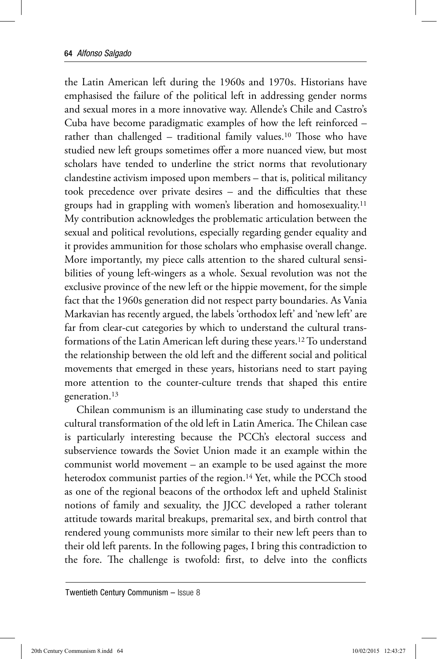the Latin American left during the 1960s and 1970s. Historians have emphasised the failure of the political left in addressing gender norms and sexual mores in a more innovative way. Allende's Chile and Castro's Cuba have become paradigmatic examples of how the left reinforced – rather than challenged – traditional family values.<sup>10</sup> Those who have studied new left groups sometimes offer a more nuanced view, but most scholars have tended to underline the strict norms that revolutionary clandestine activism imposed upon members – that is, political militancy took precedence over private desires  $-$  and the difficulties that these groups had in grappling with women's liberation and homosexuality.11 My contribution acknowledges the problematic articulation between the sexual and political revolutions, especially regarding gender equality and it provides ammunition for those scholars who emphasise overall change. More importantly, my piece calls attention to the shared cultural sensibilities of young left-wingers as a whole. Sexual revolution was not the exclusive province of the new left or the hippie movement, for the simple fact that the 1960s generation did not respect party boundaries. As Vania Markavian has recently argued, the labels 'orthodox left' and 'new left' are far from clear-cut categories by which to understand the cultural transformations of the Latin American left during these years.12 To understand the relationship between the old left and the different social and political movements that emerged in these years, historians need to start paying more attention to the counter-culture trends that shaped this entire generation.13

Chilean communism is an illuminating case study to understand the cultural transformation of the old left in Latin America. The Chilean case is particularly interesting because the PCCh's electoral success and subservience towards the Soviet Union made it an example within the communist world movement – an example to be used against the more heterodox communist parties of the region.<sup>14</sup> Yet, while the PCCh stood as one of the regional beacons of the orthodox left and upheld Stalinist notions of family and sexuality, the JJCC developed a rather tolerant attitude towards marital breakups, premarital sex, and birth control that rendered young communists more similar to their new left peers than to their old left parents. In the following pages, I bring this contradiction to the fore. The challenge is twofold: first, to delve into the conflicts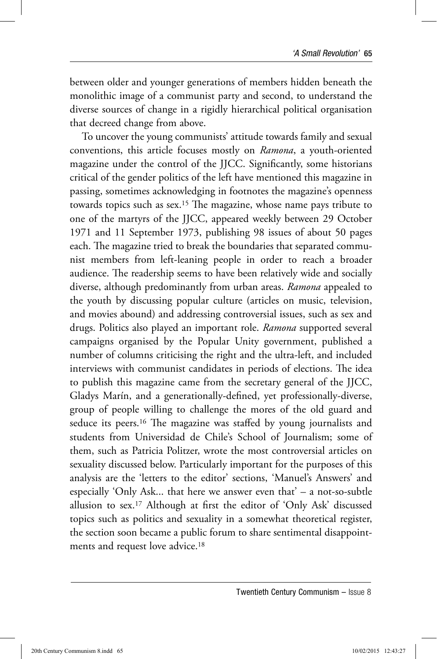between older and younger generations of members hidden beneath the monolithic image of a communist party and second, to understand the diverse sources of change in a rigidly hierarchical political organisation that decreed change from above.

To uncover the young communists' attitude towards family and sexual conventions, this article focuses mostly on *Ramona*, a youth-oriented magazine under the control of the JJCC. Significantly, some historians critical of the gender politics of the left have mentioned this magazine in passing, sometimes acknowledging in footnotes the magazine's openness towards topics such as sex.<sup>15</sup> The magazine, whose name pays tribute to one of the martyrs of the JJCC, appeared weekly between 29 October 1971 and 11 September 1973, publishing 98 issues of about 50 pages each. The magazine tried to break the boundaries that separated communist members from left-leaning people in order to reach a broader audience. The readership seems to have been relatively wide and socially diverse, although predominantly from urban areas. *Ramona* appealed to the youth by discussing popular culture (articles on music, television, and movies abound) and addressing controversial issues, such as sex and drugs. Politics also played an important role. *Ramona* supported several campaigns organised by the Popular Unity government, published a number of columns criticising the right and the ultra-left, and included interviews with communist candidates in periods of elections. The idea to publish this magazine came from the secretary general of the JJCC, Gladys Marín, and a generationally-defined, yet professionally-diverse, group of people willing to challenge the mores of the old guard and seduce its peers.<sup>16</sup> The magazine was staffed by young journalists and students from Universidad de Chile's School of Journalism; some of them, such as Patricia Politzer, wrote the most controversial articles on sexuality discussed below. Particularly important for the purposes of this analysis are the 'letters to the editor' sections, 'Manuel's Answers' and especially 'Only Ask... that here we answer even that' – a not-so-subtle allusion to sex.<sup>17</sup> Although at first the editor of 'Only Ask' discussed topics such as politics and sexuality in a somewhat theoretical register, the section soon became a public forum to share sentimental disappointments and request love advice.18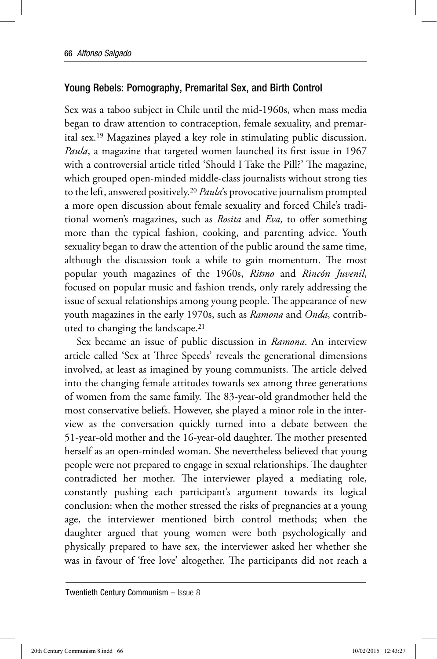#### Young Rebels: Pornography, Premarital Sex, and Birth Control

Sex was a taboo subject in Chile until the mid-1960s, when mass media began to draw attention to contraception, female sexuality, and premarital sex.19 Magazines played a key role in stimulating public discussion. *Paula*, a magazine that targeted women launched its first issue in 1967 with a controversial article titled 'Should I Take the Pill?' The magazine, which grouped open-minded middle-class journalists without strong ties to the left, answered positively.20 *Paula*'s provocative journalism prompted a more open discussion about female sexuality and forced Chile's traditional women's magazines, such as *Rosita* and *Eva*, to offer something more than the typical fashion, cooking, and parenting advice. Youth sexuality began to draw the attention of the public around the same time, although the discussion took a while to gain momentum. The most popular youth magazines of the 1960s, *Ritmo* and *Rincón Juvenil*, focused on popular music and fashion trends, only rarely addressing the issue of sexual relationships among young people. The appearance of new youth magazines in the early 1970s, such as *Ramona* and *Onda*, contributed to changing the landscape.21

Sex became an issue of public discussion in *Ramona*. An interview article called 'Sex at Three Speeds' reveals the generational dimensions involved, at least as imagined by young communists. The article delved into the changing female attitudes towards sex among three generations of women from the same family. The 83-year-old grandmother held the most conservative beliefs. However, she played a minor role in the interview as the conversation quickly turned into a debate between the 51-year-old mother and the 16-year-old daughter. The mother presented herself as an open-minded woman. She nevertheless believed that young people were not prepared to engage in sexual relationships. The daughter contradicted her mother. The interviewer played a mediating role, constantly pushing each participant's argument towards its logical conclusion: when the mother stressed the risks of pregnancies at a young age, the interviewer mentioned birth control methods; when the daughter argued that young women were both psychologically and physically prepared to have sex, the interviewer asked her whether she was in favour of 'free love' altogether. The participants did not reach a

Twentieth Century Communism – Issue 8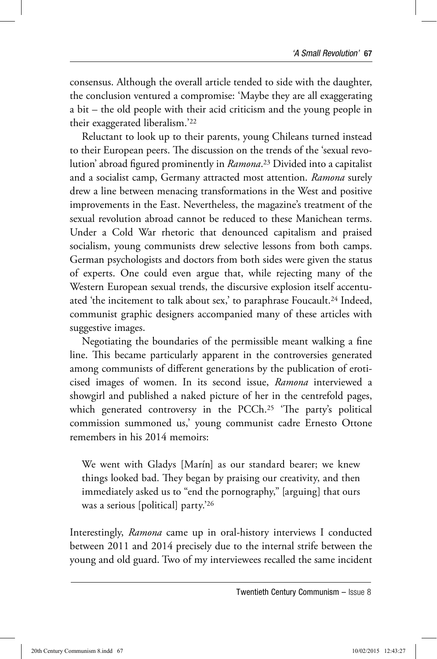consensus. Although the overall article tended to side with the daughter, the conclusion ventured a compromise: 'Maybe they are all exaggerating a bit – the old people with their acid criticism and the young people in their exaggerated liberalism.'22

Reluctant to look up to their parents, young Chileans turned instead to their European peers. The discussion on the trends of the 'sexual revolution' abroad figured prominently in *Ramona*.<sup>23</sup> Divided into a capitalist and a socialist camp, Germany attracted most attention. *Ramona* surely drew a line between menacing transformations in the West and positive improvements in the East. Nevertheless, the magazine's treatment of the sexual revolution abroad cannot be reduced to these Manichean terms. Under a Cold War rhetoric that denounced capitalism and praised socialism, young communists drew selective lessons from both camps. German psychologists and doctors from both sides were given the status of experts. One could even argue that, while rejecting many of the Western European sexual trends, the discursive explosion itself accentuated 'the incitement to talk about sex,' to paraphrase Foucault.<sup>24</sup> Indeed, communist graphic designers accompanied many of these articles with suggestive images.

Negotiating the boundaries of the permissible meant walking a fine line. This became particularly apparent in the controversies generated among communists of different generations by the publication of eroticised images of women. In its second issue, *Ramona* interviewed a showgirl and published a naked picture of her in the centrefold pages, which generated controversy in the PCCh.<sup>25</sup> 'The party's political commission summoned us,' young communist cadre Ernesto Ottone remembers in his 2014 memoirs:

We went with Gladys [Marín] as our standard bearer; we knew things looked bad. They began by praising our creativity, and then immediately asked us to "end the pornography," [arguing] that ours was a serious [political] party.'26

Interestingly, *Ramona* came up in oral-history interviews I conducted between 2011 and 2014 precisely due to the internal strife between the young and old guard. Two of my interviewees recalled the same incident

Twentieth Century Communism – Issue 8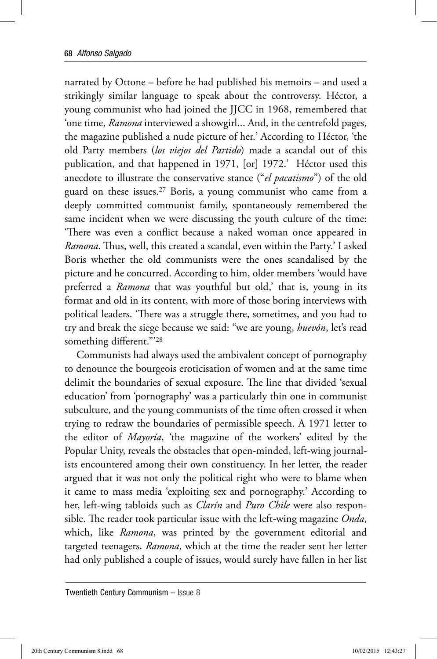narrated by Ottone – before he had published his memoirs – and used a strikingly similar language to speak about the controversy. Héctor, a young communist who had joined the JJCC in 1968, remembered that 'one time, *Ramona* interviewed a showgirl... And, in the centrefold pages, the magazine published a nude picture of her.' According to Héctor, 'the old Party members (*los viejos del Partido*) made a scandal out of this publication, and that happened in 1971, [or] 1972.' Héctor used this anecdote to illustrate the conservative stance ("*el pacatismo*") of the old guard on these issues.27 Boris, a young communist who came from a deeply committed communist family, spontaneously remembered the same incident when we were discussing the youth culture of the time: 'There was even a conflict because a naked woman once appeared in *Ramona*. Thus, well, this created a scandal, even within the Party.' I asked Boris whether the old communists were the ones scandalised by the picture and he concurred. According to him, older members 'would have preferred a *Ramona* that was youthful but old,' that is, young in its format and old in its content, with more of those boring interviews with political leaders. 'There was a struggle there, sometimes, and you had to try and break the siege because we said: "we are young, *huevón*, let's read something different."<sup>28</sup>

Communists had always used the ambivalent concept of pornography to denounce the bourgeois eroticisation of women and at the same time delimit the boundaries of sexual exposure. The line that divided 'sexual education' from 'pornography' was a particularly thin one in communist subculture, and the young communists of the time often crossed it when trying to redraw the boundaries of permissible speech. A 1971 letter to the editor of *Mayoría*, 'the magazine of the workers' edited by the Popular Unity, reveals the obstacles that open-minded, left-wing journalists encountered among their own constituency. In her letter, the reader argued that it was not only the political right who were to blame when it came to mass media 'exploiting sex and pornography.' According to her, left-wing tabloids such as *Clarín* and *Puro Chile* were also responsible. The reader took particular issue with the left-wing magazine *Onda*, which, like *Ramona*, was printed by the government editorial and targeted teenagers. *Ramona*, which at the time the reader sent her letter had only published a couple of issues, would surely have fallen in her list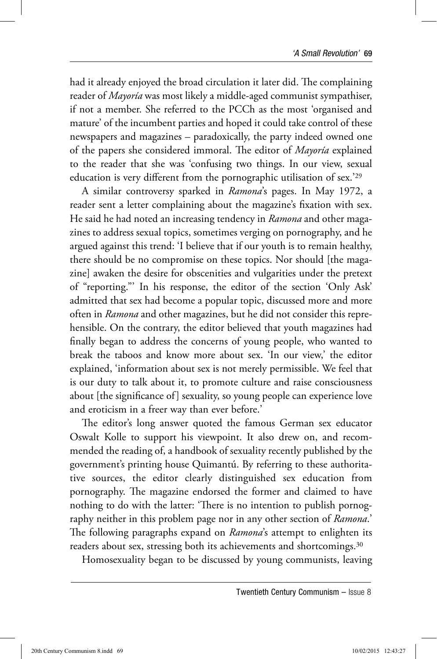had it already enjoyed the broad circulation it later did. The complaining reader of *Mayoría* was most likely a middle-aged communist sympathiser, if not a member. She referred to the PCCh as the most 'organised and mature' of the incumbent parties and hoped it could take control of these newspapers and magazines – paradoxically, the party indeed owned one of the papers she considered immoral. The editor of *Mayoría* explained to the reader that she was 'confusing two things. In our view, sexual education is very different from the pornographic utilisation of sex.'29

A similar controversy sparked in *Ramona*'s pages. In May 1972, a reader sent a letter complaining about the magazine's fixation with sex. He said he had noted an increasing tendency in *Ramona* and other magazines to address sexual topics, sometimes verging on pornography, and he argued against this trend: 'I believe that if our youth is to remain healthy, there should be no compromise on these topics. Nor should [the magazine] awaken the desire for obscenities and vulgarities under the pretext of "reporting."' In his response, the editor of the section 'Only Ask' admitted that sex had become a popular topic, discussed more and more often in *Ramona* and other magazines, but he did not consider this reprehensible. On the contrary, the editor believed that youth magazines had finally began to address the concerns of young people, who wanted to break the taboos and know more about sex. 'In our view,' the editor explained, 'information about sex is not merely permissible. We feel that is our duty to talk about it, to promote culture and raise consciousness about [the significance of] sexuality, so young people can experience love and eroticism in a freer way than ever before.'

The editor's long answer quoted the famous German sex educator Oswalt Kolle to support his viewpoint. It also drew on, and recommended the reading of, a handbook of sexuality recently published by the government's printing house Quimantú. By referring to these authoritative sources, the editor clearly distinguished sex education from pornography. The magazine endorsed the former and claimed to have nothing to do with the latter: 'There is no intention to publish pornography neither in this problem page nor in any other section of *Ramona*.' The following paragraphs expand on *Ramona*'s attempt to enlighten its readers about sex, stressing both its achievements and shortcomings.<sup>30</sup>

Homosexuality began to be discussed by young communists, leaving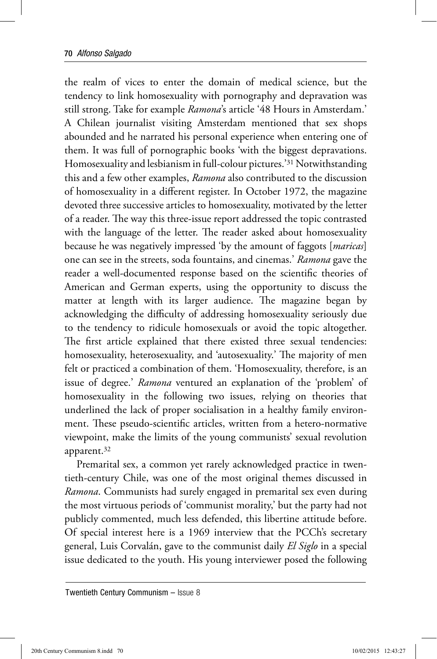the realm of vices to enter the domain of medical science, but the tendency to link homosexuality with pornography and depravation was still strong. Take for example *Ramona*'s article '48 Hours in Amsterdam.' A Chilean journalist visiting Amsterdam mentioned that sex shops abounded and he narrated his personal experience when entering one of them. It was full of pornographic books 'with the biggest depravations. Homosexuality and lesbianism in full-colour pictures.'31 Notwithstanding this and a few other examples, *Ramona* also contributed to the discussion of homosexuality in a different register. In October 1972, the magazine devoted three successive articles to homosexuality, motivated by the letter of a reader. The way this three-issue report addressed the topic contrasted with the language of the letter. The reader asked about homosexuality because he was negatively impressed 'by the amount of faggots [*maricas*] one can see in the streets, soda fountains, and cinemas.' *Ramona* gave the reader a well-documented response based on the scientific theories of American and German experts, using the opportunity to discuss the matter at length with its larger audience. The magazine began by acknowledging the difficulty of addressing homosexuality seriously due to the tendency to ridicule homosexuals or avoid the topic altogether. The first article explained that there existed three sexual tendencies: homosexuality, heterosexuality, and 'autosexuality.' The majority of men felt or practiced a combination of them. 'Homosexuality, therefore, is an issue of degree.' *Ramona* ventured an explanation of the 'problem' of homosexuality in the following two issues, relying on theories that underlined the lack of proper socialisation in a healthy family environment. These pseudo-scientific articles, written from a hetero-normative viewpoint, make the limits of the young communists' sexual revolution apparent.32

Premarital sex, a common yet rarely acknowledged practice in twentieth-century Chile, was one of the most original themes discussed in *Ramona*. Communists had surely engaged in premarital sex even during the most virtuous periods of 'communist morality,' but the party had not publicly commented, much less defended, this libertine attitude before. Of special interest here is a 1969 interview that the PCCh's secretary general, Luis Corvalán, gave to the communist daily *El Siglo* in a special issue dedicated to the youth. His young interviewer posed the following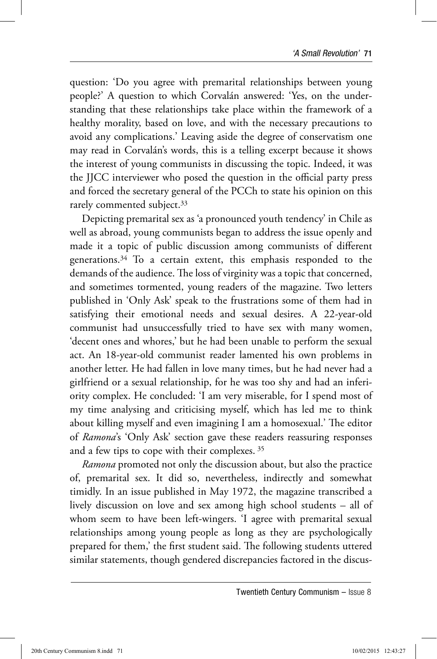question: 'Do you agree with premarital relationships between young people?' A question to which Corvalán answered: 'Yes, on the understanding that these relationships take place within the framework of a healthy morality, based on love, and with the necessary precautions to avoid any complications.' Leaving aside the degree of conservatism one may read in Corvalán's words, this is a telling excerpt because it shows the interest of young communists in discussing the topic. Indeed, it was the JJCC interviewer who posed the question in the official party press and forced the secretary general of the PCCh to state his opinion on this rarely commented subject.<sup>33</sup>

Depicting premarital sex as 'a pronounced youth tendency' in Chile as well as abroad, young communists began to address the issue openly and made it a topic of public discussion among communists of different generations.34 To a certain extent, this emphasis responded to the demands of the audience. The loss of virginity was a topic that concerned, and sometimes tormented, young readers of the magazine. Two letters published in 'Only Ask' speak to the frustrations some of them had in satisfying their emotional needs and sexual desires. A 22-year-old communist had unsuccessfully tried to have sex with many women, 'decent ones and whores,' but he had been unable to perform the sexual act. An 18-year-old communist reader lamented his own problems in another letter. He had fallen in love many times, but he had never had a girlfriend or a sexual relationship, for he was too shy and had an inferiority complex. He concluded: 'I am very miserable, for I spend most of my time analysing and criticising myself, which has led me to think about killing myself and even imagining I am a homosexual.' The editor of *Ramona*'s 'Only Ask' section gave these readers reassuring responses and a few tips to cope with their complexes. 35

*Ramona* promoted not only the discussion about, but also the practice of, premarital sex. It did so, nevertheless, indirectly and somewhat timidly. In an issue published in May 1972, the magazine transcribed a lively discussion on love and sex among high school students – all of whom seem to have been left-wingers. 'I agree with premarital sexual relationships among young people as long as they are psychologically prepared for them,' the first student said. The following students uttered similar statements, though gendered discrepancies factored in the discus-

Twentieth Century Communism – Issue 8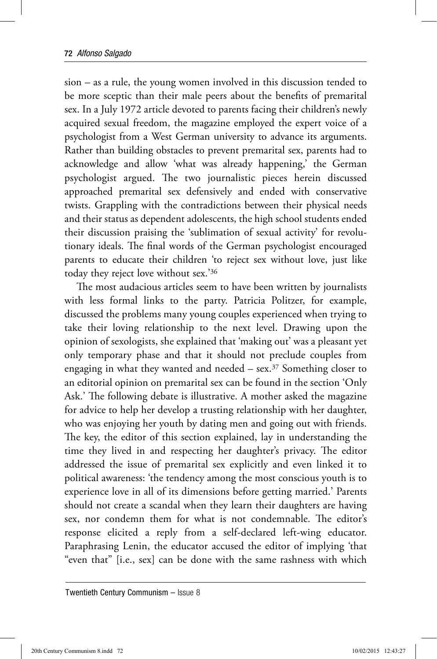sion – as a rule, the young women involved in this discussion tended to be more sceptic than their male peers about the benefits of premarital sex. In a July 1972 article devoted to parents facing their children's newly acquired sexual freedom, the magazine employed the expert voice of a psychologist from a West German university to advance its arguments. Rather than building obstacles to prevent premarital sex, parents had to acknowledge and allow 'what was already happening,' the German psychologist argued. The two journalistic pieces herein discussed approached premarital sex defensively and ended with conservative twists. Grappling with the contradictions between their physical needs and their status as dependent adolescents, the high school students ended their discussion praising the 'sublimation of sexual activity' for revolutionary ideals. The final words of the German psychologist encouraged parents to educate their children 'to reject sex without love, just like today they reject love without sex.'36

The most audacious articles seem to have been written by journalists with less formal links to the party. Patricia Politzer, for example, discussed the problems many young couples experienced when trying to take their loving relationship to the next level. Drawing upon the opinion of sexologists, she explained that 'making out' was a pleasant yet only temporary phase and that it should not preclude couples from engaging in what they wanted and needed  $-$  sex.<sup>37</sup> Something closer to an editorial opinion on premarital sex can be found in the section 'Only Ask.' The following debate is illustrative. A mother asked the magazine for advice to help her develop a trusting relationship with her daughter, who was enjoying her youth by dating men and going out with friends. The key, the editor of this section explained, lay in understanding the time they lived in and respecting her daughter's privacy. The editor addressed the issue of premarital sex explicitly and even linked it to political awareness: 'the tendency among the most conscious youth is to experience love in all of its dimensions before getting married.' Parents should not create a scandal when they learn their daughters are having sex, nor condemn them for what is not condemnable. The editor's response elicited a reply from a self-declared left-wing educator. Paraphrasing Lenin, the educator accused the editor of implying 'that "even that" [i.e., sex] can be done with the same rashness with which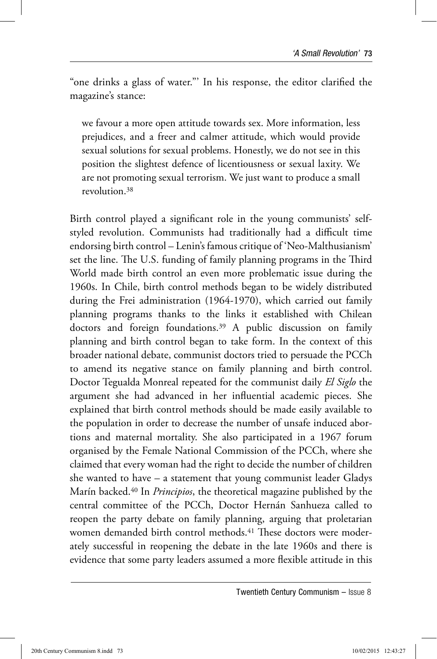"one drinks a glass of water." In his response, the editor clarified the magazine's stance:

we favour a more open attitude towards sex. More information, less prejudices, and a freer and calmer attitude, which would provide sexual solutions for sexual problems. Honestly, we do not see in this position the slightest defence of licentiousness or sexual laxity. We are not promoting sexual terrorism. We just want to produce a small revolution.38

Birth control played a significant role in the young communists' selfstyled revolution. Communists had traditionally had a difficult time endorsing birth control – Lenin's famous critique of 'Neo-Malthusianism' set the line. The U.S. funding of family planning programs in the Third World made birth control an even more problematic issue during the 1960s. In Chile, birth control methods began to be widely distributed during the Frei administration (1964-1970), which carried out family planning programs thanks to the links it established with Chilean doctors and foreign foundations.<sup>39</sup> A public discussion on family planning and birth control began to take form. In the context of this broader national debate, communist doctors tried to persuade the PCCh to amend its negative stance on family planning and birth control. Doctor Tegualda Monreal repeated for the communist daily *El Siglo* the argument she had advanced in her influential academic pieces. She explained that birth control methods should be made easily available to the population in order to decrease the number of unsafe induced abortions and maternal mortality. She also participated in a 1967 forum organised by the Female National Commission of the PCCh, where she claimed that every woman had the right to decide the number of children she wanted to have – a statement that young communist leader Gladys Marín backed.40 In *Principios*, the theoretical magazine published by the central committee of the PCCh, Doctor Hernán Sanhueza called to reopen the party debate on family planning, arguing that proletarian women demanded birth control methods.<sup>41</sup> These doctors were moderately successful in reopening the debate in the late 1960s and there is evidence that some party leaders assumed a more flexible attitude in this

Twentieth Century Communism – Issue 8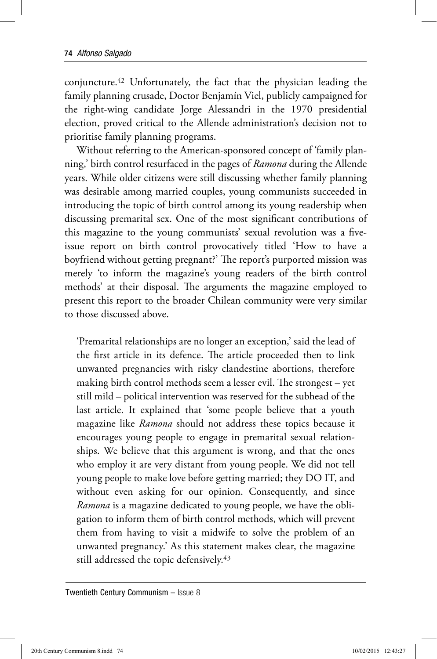conjuncture.42 Unfortunately, the fact that the physician leading the family planning crusade, Doctor Benjamín Viel, publicly campaigned for the right-wing candidate Jorge Alessandri in the 1970 presidential election, proved critical to the Allende administration's decision not to prioritise family planning programs.

Without referring to the American-sponsored concept of 'family planning,' birth control resurfaced in the pages of *Ramona* during the Allende years. While older citizens were still discussing whether family planning was desirable among married couples, young communists succeeded in introducing the topic of birth control among its young readership when discussing premarital sex. One of the most significant contributions of this magazine to the young communists' sexual revolution was a fiveissue report on birth control provocatively titled 'How to have a boyfriend without getting pregnant?' The report's purported mission was merely 'to inform the magazine's young readers of the birth control methods' at their disposal. The arguments the magazine employed to present this report to the broader Chilean community were very similar to those discussed above.

'Premarital relationships are no longer an exception,' said the lead of the first article in its defence. The article proceeded then to link unwanted pregnancies with risky clandestine abortions, therefore making birth control methods seem a lesser evil. The strongest  $-$  yet still mild – political intervention was reserved for the subhead of the last article. It explained that 'some people believe that a youth magazine like *Ramona* should not address these topics because it encourages young people to engage in premarital sexual relationships. We believe that this argument is wrong, and that the ones who employ it are very distant from young people. We did not tell young people to make love before getting married; they DO IT, and without even asking for our opinion. Consequently, and since *Ramona* is a magazine dedicated to young people, we have the obligation to inform them of birth control methods, which will prevent them from having to visit a midwife to solve the problem of an unwanted pregnancy.' As this statement makes clear, the magazine still addressed the topic defensively.43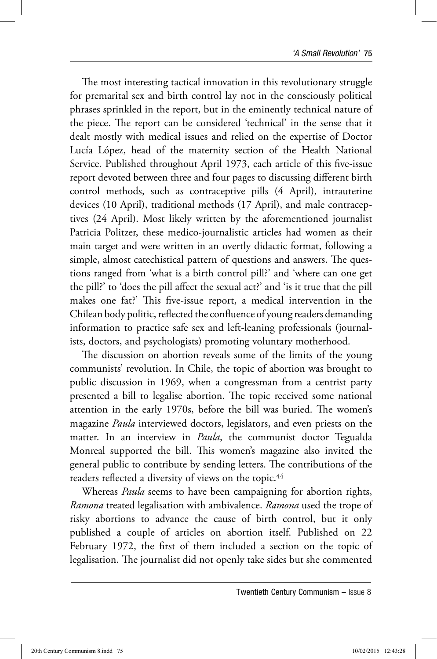The most interesting tactical innovation in this revolutionary struggle for premarital sex and birth control lay not in the consciously political phrases sprinkled in the report, but in the eminently technical nature of the piece. The report can be considered 'technical' in the sense that it dealt mostly with medical issues and relied on the expertise of Doctor Lucía López, head of the maternity section of the Health National Service. Published throughout April 1973, each article of this five-issue report devoted between three and four pages to discussing different birth control methods, such as contraceptive pills (4 April), intrauterine devices (10 April), traditional methods (17 April), and male contraceptives (24 April). Most likely written by the aforementioned journalist Patricia Politzer, these medico-journalistic articles had women as their main target and were written in an overtly didactic format, following a simple, almost catechistical pattern of questions and answers. The questions ranged from 'what is a birth control pill?' and 'where can one get the pill?' to 'does the pill affect the sexual act?' and 'is it true that the pill makes one fat?' This five-issue report, a medical intervention in the Chilean body politic, reflected the confluence of young readers demanding information to practice safe sex and left-leaning professionals (journalists, doctors, and psychologists) promoting voluntary motherhood.

The discussion on abortion reveals some of the limits of the young communists' revolution. In Chile, the topic of abortion was brought to public discussion in 1969, when a congressman from a centrist party presented a bill to legalise abortion. The topic received some national attention in the early 1970s, before the bill was buried. The women's magazine *Paula* interviewed doctors, legislators, and even priests on the matter. In an interview in *Paula*, the communist doctor Tegualda Monreal supported the bill. This women's magazine also invited the general public to contribute by sending letters. The contributions of the readers reflected a diversity of views on the topic.<sup>44</sup>

Whereas *Paula* seems to have been campaigning for abortion rights, *Ramona* treated legalisation with ambivalence. *Ramona* used the trope of risky abortions to advance the cause of birth control, but it only published a couple of articles on abortion itself. Published on 22 February 1972, the first of them included a section on the topic of legalisation. The journalist did not openly take sides but she commented

Twentieth Century Communism – Issue 8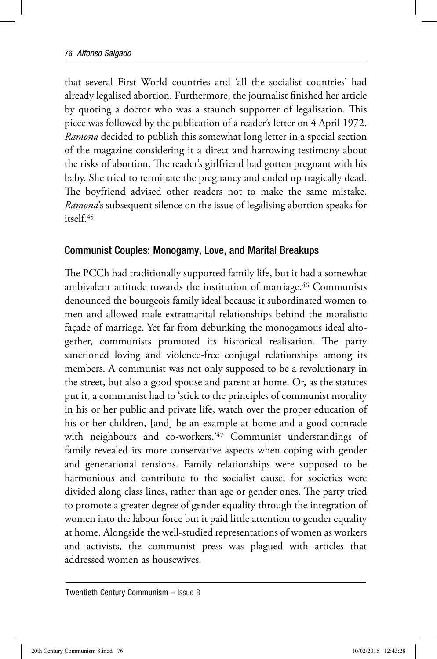that several First World countries and 'all the socialist countries' had already legalised abortion. Furthermore, the journalist finished her article by quoting a doctor who was a staunch supporter of legalisation. This piece was followed by the publication of a reader's letter on 4 April 1972. *Ramona* decided to publish this somewhat long letter in a special section of the magazine considering it a direct and harrowing testimony about the risks of abortion. The reader's girlfriend had gotten pregnant with his baby. She tried to terminate the pregnancy and ended up tragically dead. The boyfriend advised other readers not to make the same mistake. *Ramona*'s subsequent silence on the issue of legalising abortion speaks for itself<sup>45</sup>

## Communist Couples: Monogamy, Love, and Marital Breakups

The PCCh had traditionally supported family life, but it had a somewhat ambivalent attitude towards the institution of marriage.46 Communists denounced the bourgeois family ideal because it subordinated women to men and allowed male extramarital relationships behind the moralistic façade of marriage. Yet far from debunking the monogamous ideal altogether, communists promoted its historical realisation. The party sanctioned loving and violence-free conjugal relationships among its members. A communist was not only supposed to be a revolutionary in the street, but also a good spouse and parent at home. Or, as the statutes put it, a communist had to 'stick to the principles of communist morality in his or her public and private life, watch over the proper education of his or her children, [and] be an example at home and a good comrade with neighbours and co-workers.<sup>'47</sup> Communist understandings of family revealed its more conservative aspects when coping with gender and generational tensions. Family relationships were supposed to be harmonious and contribute to the socialist cause, for societies were divided along class lines, rather than age or gender ones. The party tried to promote a greater degree of gender equality through the integration of women into the labour force but it paid little attention to gender equality at home. Alongside the well-studied representations of women as workers and activists, the communist press was plagued with articles that addressed women as housewives.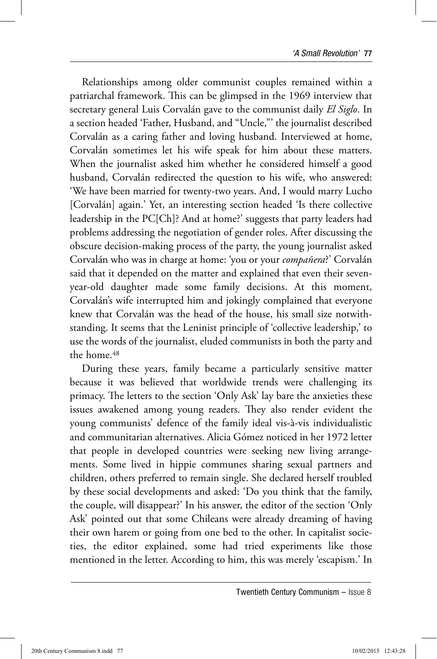Relationships among older communist couples remained within a patriarchal framework. This can be glimpsed in the 1969 interview that secretary general Luis Corvalán gave to the communist daily *El Siglo*. In a section headed 'Father, Husband, and "Uncle,"' the journalist described Corvalán as a caring father and loving husband. Interviewed at home, Corvalán sometimes let his wife speak for him about these matters. When the journalist asked him whether he considered himself a good husband, Corvalán redirected the question to his wife, who answered: 'We have been married for twenty-two years. And, I would marry Lucho [Corvalán] again.' Yet, an interesting section headed 'Is there collective leadership in the PC[Ch]? And at home?' suggests that party leaders had problems addressing the negotiation of gender roles. After discussing the obscure decision-making process of the party, the young journalist asked Corvalán who was in charge at home: 'you or your *compañera*?' Corvalán said that it depended on the matter and explained that even their sevenyear-old daughter made some family decisions. At this moment, Corvalán's wife interrupted him and jokingly complained that everyone knew that Corvalán was the head of the house, his small size notwithstanding. It seems that the Leninist principle of 'collective leadership,' to use the words of the journalist, eluded communists in both the party and the home.<sup>48</sup>

During these years, family became a particularly sensitive matter because it was believed that worldwide trends were challenging its primacy. The letters to the section 'Only Ask' lay bare the anxieties these issues awakened among young readers. They also render evident the young communists' defence of the family ideal vis-à-vis individualistic and communitarian alternatives. Alicia Gómez noticed in her 1972 letter that people in developed countries were seeking new living arrangements. Some lived in hippie communes sharing sexual partners and children, others preferred to remain single. She declared herself troubled by these social developments and asked: 'Do you think that the family, the couple, will disappear?' In his answer, the editor of the section 'Only Ask' pointed out that some Chileans were already dreaming of having their own harem or going from one bed to the other. In capitalist societies, the editor explained, some had tried experiments like those mentioned in the letter. According to him, this was merely 'escapism.' In

Twentieth Century Communism – Issue 8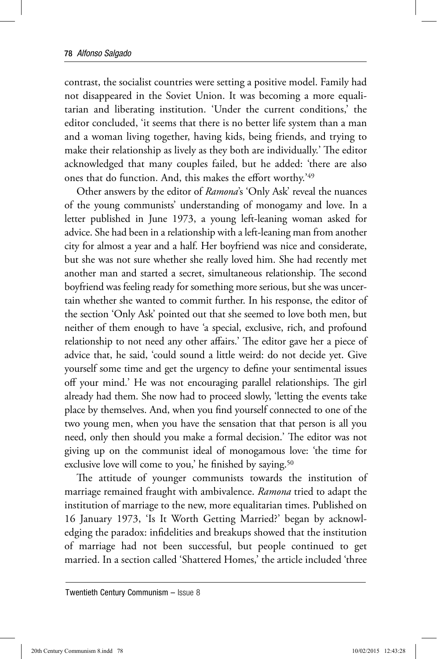contrast, the socialist countries were setting a positive model. Family had not disappeared in the Soviet Union. It was becoming a more equalitarian and liberating institution. 'Under the current conditions,' the editor concluded, 'it seems that there is no better life system than a man and a woman living together, having kids, being friends, and trying to make their relationship as lively as they both are individually.' The editor acknowledged that many couples failed, but he added: 'there are also ones that do function. And, this makes the effort worthy.'49

Other answers by the editor of *Ramona*'s 'Only Ask' reveal the nuances of the young communists' understanding of monogamy and love. In a letter published in June 1973, a young left-leaning woman asked for advice. She had been in a relationship with a left-leaning man from another city for almost a year and a half. Her boyfriend was nice and considerate, but she was not sure whether she really loved him. She had recently met another man and started a secret, simultaneous relationship. The second boyfriend was feeling ready for something more serious, but she was uncertain whether she wanted to commit further. In his response, the editor of the section 'Only Ask' pointed out that she seemed to love both men, but neither of them enough to have 'a special, exclusive, rich, and profound relationship to not need any other affairs.' The editor gave her a piece of advice that, he said, 'could sound a little weird: do not decide yet. Give yourself some time and get the urgency to define your sentimental issues off your mind.' He was not encouraging parallel relationships. The girl already had them. She now had to proceed slowly, 'letting the events take place by themselves. And, when you find yourself connected to one of the two young men, when you have the sensation that that person is all you need, only then should you make a formal decision.' The editor was not giving up on the communist ideal of monogamous love: 'the time for exclusive love will come to you,' he finished by saying.<sup>50</sup>

The attitude of younger communists towards the institution of marriage remained fraught with ambivalence. *Ramona* tried to adapt the institution of marriage to the new, more equalitarian times. Published on 16 January 1973, 'Is It Worth Getting Married?' began by acknowledging the paradox: infidelities and breakups showed that the institution of marriage had not been successful, but people continued to get married. In a section called 'Shattered Homes,' the article included 'three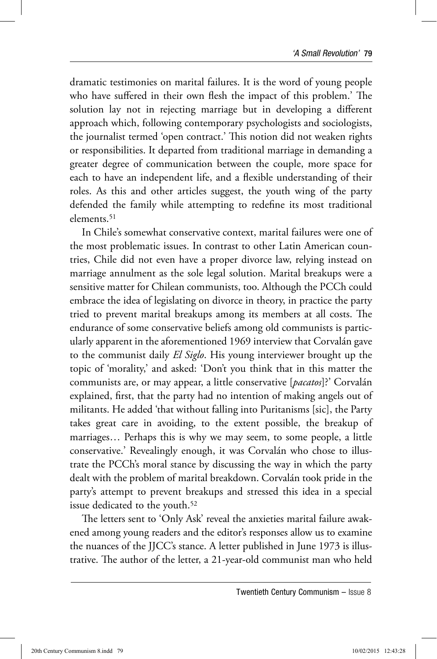dramatic testimonies on marital failures. It is the word of young people who have suffered in their own flesh the impact of this problem.' The solution lay not in rejecting marriage but in developing a different approach which, following contemporary psychologists and sociologists, the journalist termed 'open contract.' This notion did not weaken rights or responsibilities. It departed from traditional marriage in demanding a greater degree of communication between the couple, more space for each to have an independent life, and a flexible understanding of their roles. As this and other articles suggest, the youth wing of the party defended the family while attempting to redefine its most traditional elements<sup>51</sup>

In Chile's somewhat conservative context, marital failures were one of the most problematic issues. In contrast to other Latin American countries, Chile did not even have a proper divorce law, relying instead on marriage annulment as the sole legal solution. Marital breakups were a sensitive matter for Chilean communists, too. Although the PCCh could embrace the idea of legislating on divorce in theory, in practice the party tried to prevent marital breakups among its members at all costs. The endurance of some conservative beliefs among old communists is particularly apparent in the aforementioned 1969 interview that Corvalán gave to the communist daily *El Siglo*. His young interviewer brought up the topic of 'morality,' and asked: 'Don't you think that in this matter the communists are, or may appear, a little conservative [*pacatos*]?' Corvalán explained, first, that the party had no intention of making angels out of militants. He added 'that without falling into Puritanisms [sic], the Party takes great care in avoiding, to the extent possible, the breakup of marriages… Perhaps this is why we may seem, to some people, a little conservative.' Revealingly enough, it was Corvalán who chose to illustrate the PCCh's moral stance by discussing the way in which the party dealt with the problem of marital breakdown. Corvalán took pride in the party's attempt to prevent breakups and stressed this idea in a special issue dedicated to the youth.52

The letters sent to 'Only Ask' reveal the anxieties marital failure awakened among young readers and the editor's responses allow us to examine the nuances of the JJCC's stance. A letter published in June 1973 is illustrative. The author of the letter, a 21-year-old communist man who held

Twentieth Century Communism – Issue 8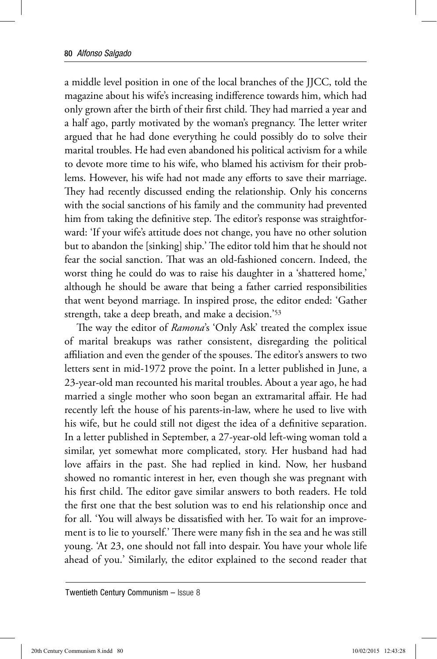a middle level position in one of the local branches of the JJCC, told the magazine about his wife's increasing indifference towards him, which had only grown after the birth of their first child. They had married a year and a half ago, partly motivated by the woman's pregnancy. The letter writer argued that he had done everything he could possibly do to solve their marital troubles. He had even abandoned his political activism for a while to devote more time to his wife, who blamed his activism for their problems. However, his wife had not made any efforts to save their marriage. They had recently discussed ending the relationship. Only his concerns with the social sanctions of his family and the community had prevented him from taking the definitive step. The editor's response was straightforward: 'If your wife's attitude does not change, you have no other solution but to abandon the [sinking] ship.' The editor told him that he should not fear the social sanction. That was an old-fashioned concern. Indeed, the worst thing he could do was to raise his daughter in a 'shattered home,' although he should be aware that being a father carried responsibilities that went beyond marriage. In inspired prose, the editor ended: 'Gather strength, take a deep breath, and make a decision.'53

The way the editor of *Ramona*'s 'Only Ask' treated the complex issue of marital breakups was rather consistent, disregarding the political affiliation and even the gender of the spouses. The editor's answers to two letters sent in mid-1972 prove the point. In a letter published in June, a 23-year-old man recounted his marital troubles. About a year ago, he had married a single mother who soon began an extramarital affair. He had recently left the house of his parents-in-law, where he used to live with his wife, but he could still not digest the idea of a definitive separation. In a letter published in September, a 27-year-old left-wing woman told a similar, yet somewhat more complicated, story. Her husband had had love affairs in the past. She had replied in kind. Now, her husband showed no romantic interest in her, even though she was pregnant with his first child. The editor gave similar answers to both readers. He told the first one that the best solution was to end his relationship once and for all. 'You will always be dissatisfied with her. To wait for an improvement is to lie to yourself.' There were many fish in the sea and he was still young. 'At 23, one should not fall into despair. You have your whole life ahead of you.' Similarly, the editor explained to the second reader that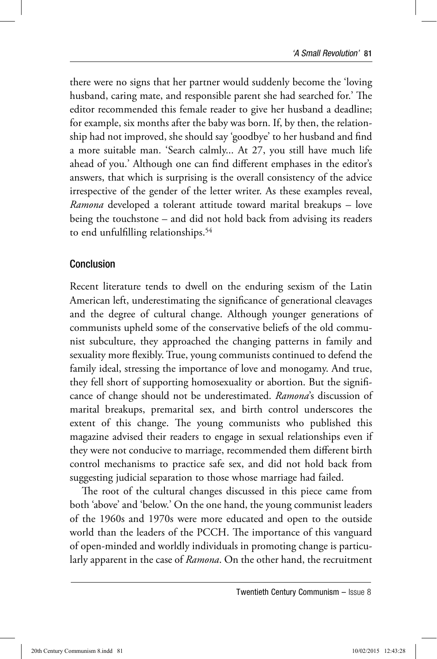there were no signs that her partner would suddenly become the 'loving husband, caring mate, and responsible parent she had searched for.' The editor recommended this female reader to give her husband a deadline; for example, six months after the baby was born. If, by then, the relationship had not improved, she should say 'goodbye' to her husband and find a more suitable man. 'Search calmly... At 27, you still have much life ahead of you.' Although one can find different emphases in the editor's answers, that which is surprising is the overall consistency of the advice irrespective of the gender of the letter writer. As these examples reveal, *Ramona* developed a tolerant attitude toward marital breakups – love being the touchstone – and did not hold back from advising its readers to end unfulfilling relationships.<sup>54</sup>

## Conclusion

Recent literature tends to dwell on the enduring sexism of the Latin American left, underestimating the significance of generational cleavages and the degree of cultural change. Although younger generations of communists upheld some of the conservative beliefs of the old communist subculture, they approached the changing patterns in family and sexuality more flexibly. True, young communists continued to defend the family ideal, stressing the importance of love and monogamy. And true, they fell short of supporting homosexuality or abortion. But the significance of change should not be underestimated. *Ramona*'s discussion of marital breakups, premarital sex, and birth control underscores the extent of this change. The young communists who published this magazine advised their readers to engage in sexual relationships even if they were not conducive to marriage, recommended them different birth control mechanisms to practice safe sex, and did not hold back from suggesting judicial separation to those whose marriage had failed.

The root of the cultural changes discussed in this piece came from both 'above' and 'below.' On the one hand, the young communist leaders of the 1960s and 1970s were more educated and open to the outside world than the leaders of the PCCH. The importance of this vanguard of open-minded and worldly individuals in promoting change is particularly apparent in the case of *Ramona*. On the other hand, the recruitment

Twentieth Century Communism – Issue 8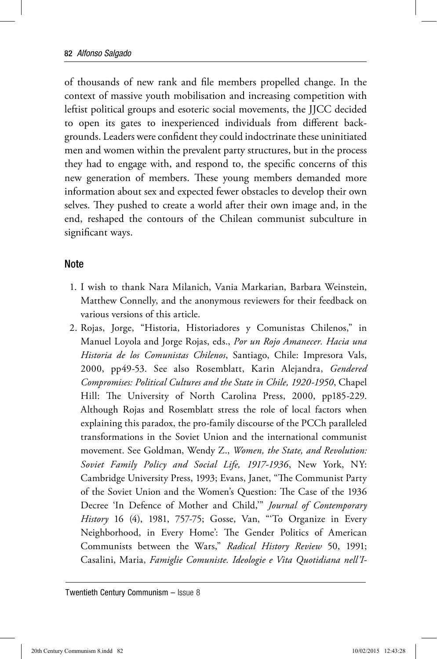of thousands of new rank and file members propelled change. In the context of massive youth mobilisation and increasing competition with leftist political groups and esoteric social movements, the JJCC decided to open its gates to inexperienced individuals from different backgrounds. Leaders were confident they could indoctrinate these uninitiated men and women within the prevalent party structures, but in the process they had to engage with, and respond to, the specific concerns of this new generation of members. These young members demanded more information about sex and expected fewer obstacles to develop their own selves. They pushed to create a world after their own image and, in the end, reshaped the contours of the Chilean communist subculture in significant ways.

#### Note

- 1. I wish to thank Nara Milanich, Vania Markarian, Barbara Weinstein, Matthew Connelly, and the anonymous reviewers for their feedback on various versions of this article.
- 2. Rojas, Jorge, "Historia, Historiadores y Comunistas Chilenos," in Manuel Loyola and Jorge Rojas, eds., *Por un Rojo Amanecer. Hacia una Historia de los Comunistas Chilenos*, Santiago, Chile: Impresora Vals, 2000, pp49-53. See also Rosemblatt, Karin Alejandra, *Gendered Compromises: Political Cultures and the State in Chile, 1920-1950*, Chapel Hill: The University of North Carolina Press, 2000, pp185-229. Although Rojas and Rosemblatt stress the role of local factors when explaining this paradox, the pro-family discourse of the PCCh paralleled transformations in the Soviet Union and the international communist movement. See Goldman, Wendy Z., *Women, the State, and Revolution: Soviet Family Policy and Social Life, 1917-1936*, New York, NY: Cambridge University Press, 1993; Evans, Janet, "The Communist Party of the Soviet Union and the Women's Question: The Case of the 1936 Decree 'In Defence of Mother and Child,'" *Journal of Contemporary History* 16 (4), 1981, 757-75; Gosse, Van, "'To Organize in Every Neighborhood, in Every Home': The Gender Politics of American Communists between the Wars," *Radical History Review* 50, 1991; Casalini, Maria, *Famiglie Comuniste. Ideologie e Vita Quotidiana nell'I-*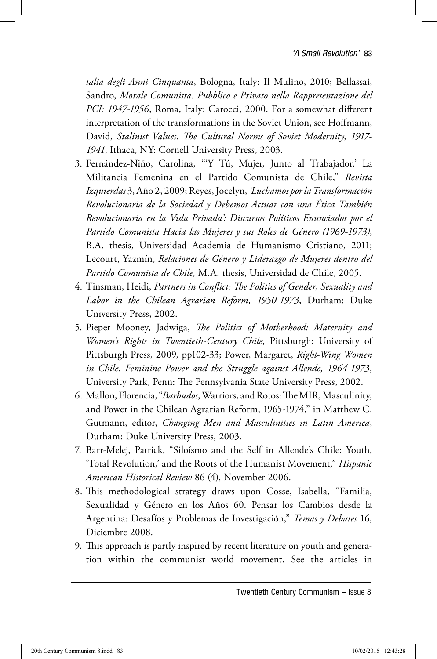*talia degli Anni Cinquanta*, Bologna, Italy: Il Mulino, 2010; Bellassai, Sandro, *Morale Comunista. Pubblico e Privato nella Rappresentazione del PCI: 1947-1956*, Roma, Italy: Carocci, 2000. For a somewhat different interpretation of the transformations in the Soviet Union, see Hoffmann, David, *Stalinist Values. The Cultural Norms of Soviet Modernity*, 1917-*1941*, Ithaca, NY: Cornell University Press, 2003.

- 3. Fernández-Niño, Carolina, "'Y Tú, Mujer, Junto al Trabajador.' La Militancia Femenina en el Partido Comunista de Chile," *Revista Izquierdas* 3, Año 2, 2009; Reyes, Jocelyn, *'Luchamos por la Transformación Revolucionaria de la Sociedad y Debemos Actuar con una Ética También Revolucionaria en la Vida Privada': Discursos Políticos Enunciados por el Partido Comunista Hacia las Mujeres y sus Roles de Género (1969-1973)*, B.A. thesis, Universidad Academia de Humanismo Cristiano, 2011; Lecourt, Yazmín, *Relaciones de Género y Liderazgo de Mujeres dentro del Partido Comunista de Chile,* M.A. thesis, Universidad de Chile, 2005.
- 4. Tinsman, Heidi, *Partners in Conflict: The Politics of Gender, Sexuality and Labor in the Chilean Agrarian Reform, 1950-1973*, Durham: Duke University Press, 2002.
- 5. Pieper Mooney, Jadwiga, *The Politics of Motherhood: Maternity and Women's Rights in Twentieth-Century Chile*, Pittsburgh: University of Pittsburgh Press, 2009, pp102-33; Power, Margaret, *Right-Wing Women in Chile. Feminine Power and the Struggle against Allende, 1964-1973*, University Park, Penn: The Pennsylvania State University Press, 2002.
- 6. Mallon, Florencia, "*Barbudos*, Warriors, and Rotos: The MIR, Masculinity, and Power in the Chilean Agrarian Reform, 1965-1974," in Matthew C. Gutmann, editor, *Changing Men and Masculinities in Latin America*, Durham: Duke University Press, 2003.
- 7. Barr-Melej, Patrick, "Siloísmo and the Self in Allende's Chile: Youth, 'Total Revolution,' and the Roots of the Humanist Movement," *Hispanic American Historical Review* 86 (4), November 2006.
- 8. This methodological strategy draws upon Cosse, Isabella, "Familia, Sexualidad y Género en los Años 60. Pensar los Cambios desde la Argentina: Desafíos y Problemas de Investigación," *Temas y Debates* 16, Diciembre 2008.
- 9. This approach is partly inspired by recent literature on youth and generation within the communist world movement. See the articles in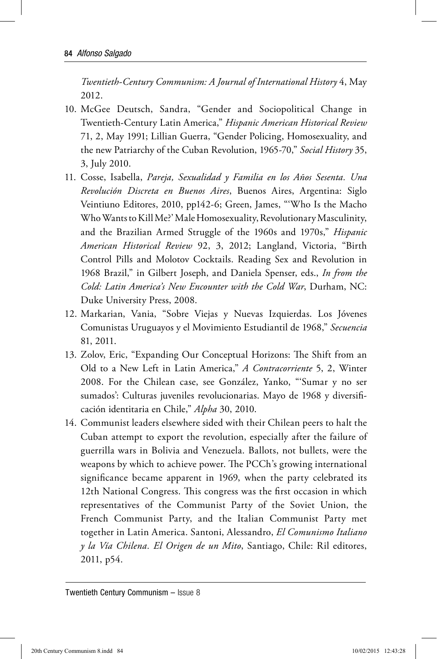*Twentieth-Century Communism: A Journal of International History* 4, May 2012.

- 10. McGee Deutsch, Sandra, "Gender and Sociopolitical Change in Twentieth-Century Latin America," *Hispanic American Historical Review*  71, 2, May 1991; Lillian Guerra, "Gender Policing, Homosexuality, and the new Patriarchy of the Cuban Revolution, 1965-70," *Social History* 35, 3, July 2010.
- 11. Cosse, Isabella, *Pareja, Sexualidad y Familia en los Años Sesenta. Una Revolución Discreta en Buenos Aires*, Buenos Aires, Argentina: Siglo Veintiuno Editores, 2010, pp142-6; Green, James, "'Who Is the Macho Who Wants to Kill Me?' Male Homosexuality, Revolutionary Masculinity, and the Brazilian Armed Struggle of the 1960s and 1970s," *Hispanic American Historical Review* 92, 3, 2012; Langland, Victoria, "Birth Control Pills and Molotov Cocktails. Reading Sex and Revolution in 1968 Brazil," in Gilbert Joseph, and Daniela Spenser, eds., *In from the Cold: Latin America's New Encounter with the Cold War*, Durham, NC: Duke University Press, 2008.
- 12. Markarian, Vania, "Sobre Viejas y Nuevas Izquierdas. Los Jóvenes Comunistas Uruguayos y el Movimiento Estudiantil de 1968," *Secuencia*  81, 2011.
- 13. Zolov, Eric, "Expanding Our Conceptual Horizons: The Shift from an Old to a New Left in Latin America," *A Contracorriente* 5, 2, Winter 2008. For the Chilean case, see González, Yanko, "'Sumar y no ser sumados': Culturas juveniles revolucionarias. Mayo de 1968 y diversificación identitaria en Chile," *Alpha* 30, 2010.
- 14. Communist leaders elsewhere sided with their Chilean peers to halt the Cuban attempt to export the revolution, especially after the failure of guerrilla wars in Bolivia and Venezuela. Ballots, not bullets, were the weapons by which to achieve power. The PCCh's growing international significance became apparent in 1969, when the party celebrated its 12th National Congress. This congress was the first occasion in which representatives of the Communist Party of the Soviet Union, the French Communist Party, and the Italian Communist Party met together in Latin America. Santoni, Alessandro, *El Comunismo Italiano y la Vía Chilena. El Origen de un Mito*, Santiago, Chile: Ril editores, 2011, p54.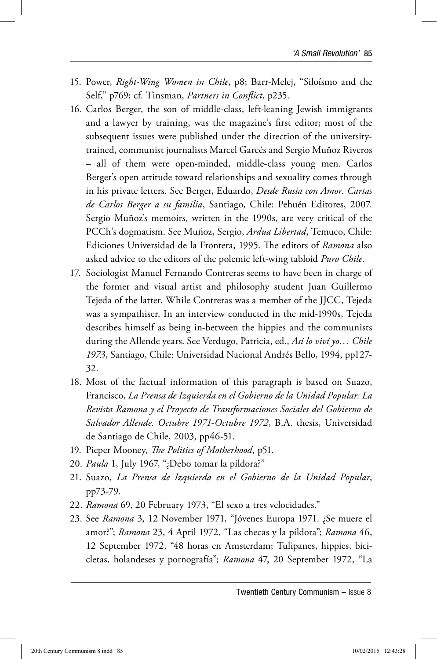- 15. Power, *Right-Wing Women in Chile*, p8; Barr-Melej, "Siloísmo and the Self," p769; cf. Tinsman, *Partners in Conflict*, p235.
- 16. Carlos Berger, the son of middle-class, left-leaning Jewish immigrants and a lawyer by training, was the magazine's first editor; most of the subsequent issues were published under the direction of the universitytrained, communist journalists Marcel Garcés and Sergio Muñoz Riveros – all of them were open-minded, middle-class young men. Carlos Berger's open attitude toward relationships and sexuality comes through in his private letters. See Berger, Eduardo, *Desde Rusia con Amor. Cartas de Carlos Berger a su familia*, Santiago, Chile: Pehuén Editores, 2007. Sergio Muñoz's memoirs, written in the 1990s, are very critical of the PCCh's dogmatism. See Muñoz, Sergio, *Ardua Libertad*, Temuco, Chile: Ediciones Universidad de la Frontera, 1995. The editors of *Ramona* also asked advice to the editors of the polemic left-wing tabloid *Puro Chile*.
- 17. Sociologist Manuel Fernando Contreras seems to have been in charge of the former and visual artist and philosophy student Juan Guillermo Tejeda of the latter. While Contreras was a member of the JJCC, Tejeda was a sympathiser. In an interview conducted in the mid-1990s, Tejeda describes himself as being in-between the hippies and the communists during the Allende years. See Verdugo, Patricia, ed., *Así lo viví yo… Chile 1973*, Santiago, Chile: Universidad Nacional Andrés Bello, 1994, pp127- 32.
- 18. Most of the factual information of this paragraph is based on Suazo, Francisco, *La Prensa de Izquierda en el Gobierno de la Unidad Popular: La Revista Ramona y el Proyecto de Transformaciones Sociales del Gobierno de Salvador Allende. Octubre 1971-Octubre 1972*, B.A. thesis, Universidad de Santiago de Chile, 2003, pp46-51.
- 19. Pieper Mooney, *The Politics of Motherhood*, p51.
- 20. *Paula* 1, July 1967, "¿Debo tomar la píldora?"
- 21. Suazo, *La Prensa de Izquierda en el Gobierno de la Unidad Popular*, pp73-79.
- 22. *Ramona* 69, 20 February 1973, "El sexo a tres velocidades."
- 23. See *Ramona* 3, 12 November 1971, "Jóvenes Europa 1971. ¿Se muere el amor?"; *Ramona* 23, 4 April 1972, "Las checas y la píldora"; *Ramona* 46, 12 September 1972, "48 horas en Amsterdam; Tulipanes, hippies, bicicletas, holandeses y pornografía"; *Ramona* 47, 20 September 1972, "La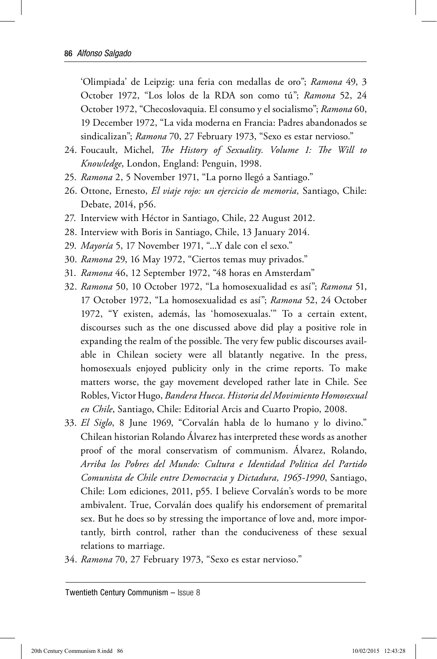'Olimpiada' de Leipzig: una feria con medallas de oro"; *Ramona* 49, 3 October 1972, "Los lolos de la RDA son como tú"; *Ramona* 52, 24 October 1972, "Checoslovaquia. El consumo y el socialismo"; *Ramona* 60, 19 December 1972, "La vida moderna en Francia: Padres abandonados se sindicalizan"; *Ramona* 70, 27 February 1973, "Sexo es estar nervioso."

- 24. Foucault, Michel, *The History of Sexuality. Volume 1: The Will to Knowledge*, London, England: Penguin, 1998.
- 25. *Ramona* 2, 5 November 1971, "La porno llegó a Santiago."
- 26. Ottone, Ernesto, *El viaje rojo: un ejercicio de memoria,* Santiago, Chile: Debate, 2014, p56.
- 27. Interview with Héctor in Santiago, Chile, 22 August 2012.
- 28. Interview with Boris in Santiago, Chile, 13 January 2014.
- 29. *Mayoría* 5, 17 November 1971, "...Y dale con el sexo."
- 30. *Ramona* 29, 16 May 1972, "Ciertos temas muy privados."
- 31. *Ramona* 46, 12 September 1972, "48 horas en Amsterdam"
- 32. *Ramona* 50, 10 October 1972, "La homosexualidad es así"; *Ramona* 51, 17 October 1972, "La homosexualidad es así"; *Ramona* 52, 24 October 1972, "Y existen, además, las 'homosexualas.'" To a certain extent, discourses such as the one discussed above did play a positive role in expanding the realm of the possible. The very few public discourses available in Chilean society were all blatantly negative. In the press, homosexuals enjoyed publicity only in the crime reports. To make matters worse, the gay movement developed rather late in Chile. See Robles, Victor Hugo, *Bandera Hueca. Historia del Movimiento Homosexual en Chile*, Santiago, Chile: Editorial Arcis and Cuarto Propio, 2008.
- 33. *El Siglo*, 8 June 1969, "Corvalán habla de lo humano y lo divino." Chilean historian Rolando Álvarez has interpreted these words as another proof of the moral conservatism of communism. Álvarez, Rolando, *Arriba los Pobres del Mundo: Cultura e Identidad Política del Partido Comunista de Chile entre Democracia y Dictadura, 1965-1990*, Santiago, Chile: Lom ediciones, 2011, p55. I believe Corvalán's words to be more ambivalent. True, Corvalán does qualify his endorsement of premarital sex. But he does so by stressing the importance of love and, more importantly, birth control, rather than the conduciveness of these sexual relations to marriage.
- 34. *Ramona* 70, 27 February 1973, "Sexo es estar nervioso."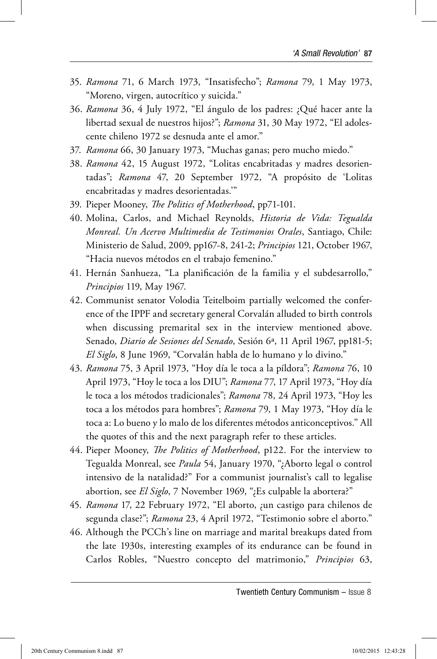- 35. *Ramona* 71, 6 March 1973, "Insatisfecho"; *Ramona* 79, 1 May 1973, "Moreno, virgen, autocrítico y suicida."
- 36. *Ramona* 36, 4 July 1972, "El ángulo de los padres: ¿Qué hacer ante la libertad sexual de nuestros hijos?"; *Ramona* 31, 30 May 1972, "El adolescente chileno 1972 se desnuda ante el amor."
- 37. *Ramona* 66, 30 January 1973, "Muchas ganas; pero mucho miedo."
- 38. *Ramona* 42, 15 August 1972, "Lolitas encabritadas y madres desorientadas"; *Ramona* 47, 20 September 1972, "A propósito de 'Lolitas encabritadas y madres desorientadas.'"
- 39. Pieper Mooney, *The Politics of Motherhood*, pp71-101.
- 40. Molina, Carlos, and Michael Reynolds, *Historia de Vida: Tegualda Monreal. Un Acervo Multimedia de Testimonios Orales*, Santiago, Chile: Ministerio de Salud, 2009, pp167-8, 241-2; *Principios* 121, October 1967, "Hacia nuevos métodos en el trabajo femenino."
- 41. Hernán Sanhueza, "La planificación de la familia y el subdesarrollo," *Principios* 119, May 1967.
- 42. Communist senator Volodia Teitelboim partially welcomed the conference of the IPPF and secretary general Corvalán alluded to birth controls when discussing premarital sex in the interview mentioned above. Senado, *Diario de Sesiones del Senado*, Sesión 6ª, 11 April 1967, pp181-5; *El Siglo*, 8 June 1969, "Corvalán habla de lo humano y lo divino."
- 43. *Ramona* 75, 3 April 1973, "Hoy día le toca a la píldora"; *Ramona* 76, 10 April 1973, "Hoy le toca a los DIU"; *Ramona* 77, 17 April 1973, "Hoy día le toca a los métodos tradicionales"; *Ramona* 78, 24 April 1973, "Hoy les toca a los métodos para hombres"; *Ramona* 79, 1 May 1973, "Hoy día le toca a: Lo bueno y lo malo de los diferentes métodos anticonceptivos." All the quotes of this and the next paragraph refer to these articles.
- 44. Pieper Mooney, *The Politics of Motherhood*, p122. For the interview to Tegualda Monreal, see *Paula* 54, January 1970, "¿Aborto legal o control intensivo de la natalidad?" For a communist journalist's call to legalise abortion, see *El Siglo*, 7 November 1969, "¿Es culpable la abortera?"
- 45. *Ramona* 17, 22 February 1972, "El aborto, ¿un castigo para chilenos de segunda clase?"; *Ramona* 23, 4 April 1972, "Testimonio sobre el aborto."
- 46. Although the PCCh's line on marriage and marital breakups dated from the late 1930s, interesting examples of its endurance can be found in Carlos Robles, "Nuestro concepto del matrimonio," *Principios* 63,